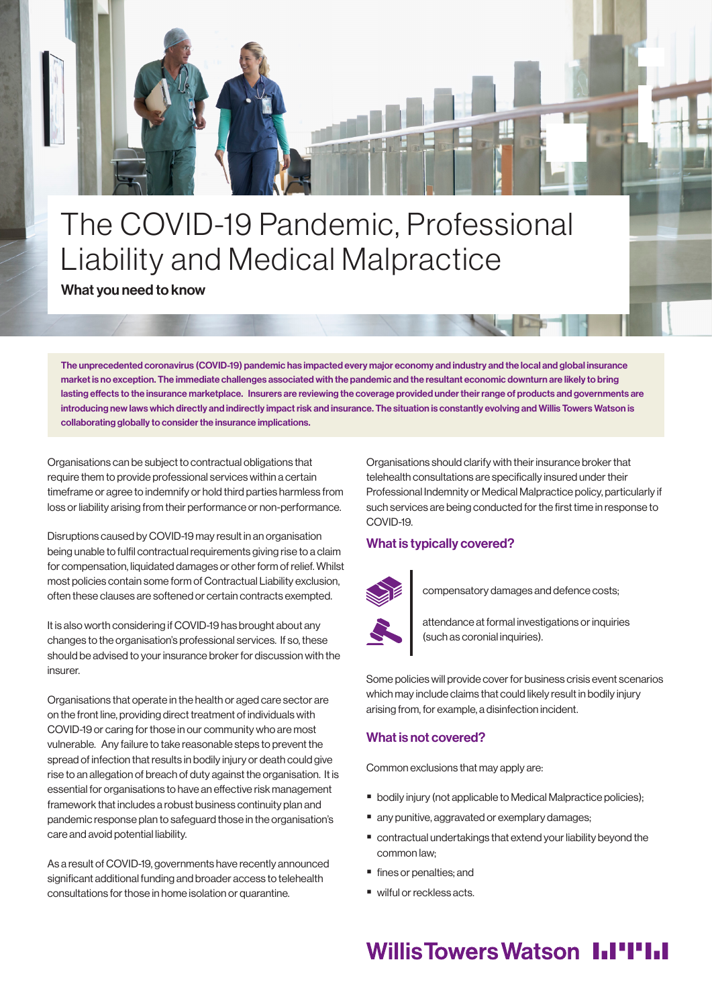# The COVID-19 Pandemic, Professional Liability and Medical Malpractice

What you need to know

The unprecedented coronavirus (COVID-19) pandemic has impacted every major economy and industry and the local and global insurance market is no exception. The immediate challenges associated with the pandemic and the resultant economic downturn are likely to bring lasting effects to the insurance marketplace. Insurers are reviewing the coverage provided under their range of products and governments are introducing new laws which directly and indirectly impact risk and insurance. The situation is constantly evolving and Willis Towers Watson is collaborating globally to consider the insurance implications.

Organisations can be subject to contractual obligations that require them to provide professional services within a certain timeframe or agree to indemnify or hold third parties harmless from loss or liability arising from their performance or non-performance.

Disruptions caused by COVID-19 may result in an organisation being unable to fulfil contractual requirements giving rise to a claim for compensation, liquidated damages or other form of relief. Whilst most policies contain some form of Contractual Liability exclusion, often these clauses are softened or certain contracts exempted.

It is also worth considering if COVID-19 has brought about any changes to the organisation's professional services. If so, these should be advised to your insurance broker for discussion with the insurer.

Organisations that operate in the health or aged care sector are on the front line, providing direct treatment of individuals with COVID-19 or caring for those in our community who are most vulnerable. Any failure to take reasonable steps to prevent the spread of infection that results in bodily injury or death could give rise to an allegation of breach of duty against the organisation. It is essential for organisations to have an effective risk management framework that includes a robust business continuity plan and pandemic response plan to safeguard those in the organisation's care and avoid potential liability.

As a result of COVID-19, governments have recently announced significant additional funding and broader access to telehealth consultations for those in home isolation or quarantine.

Organisations should clarify with their insurance broker that telehealth consultations are specifically insured under their Professional Indemnity or Medical Malpractice policy, particularly if such services are being conducted for the first time in response to COVID-19.

#### What is typically covered?



compensatory damages and defence costs;

attendance at formal investigations or inquiries (such as coronial inquiries).

Some policies will provide cover for business crisis event scenarios which may include claims that could likely result in bodily injury arising from, for example, a disinfection incident.

#### What is not covered?

Common exclusions that may apply are:

- **bodily injury (not applicable to Medical Malpractice policies);**
- nany punitive, aggravated or exemplary damages;
- contractual undertakings that extend your liability beyond the common law;
- **fines or penalties**: and
- wilful or reckless acts.

## **Willis Towers Watson I.I'I'I.I**